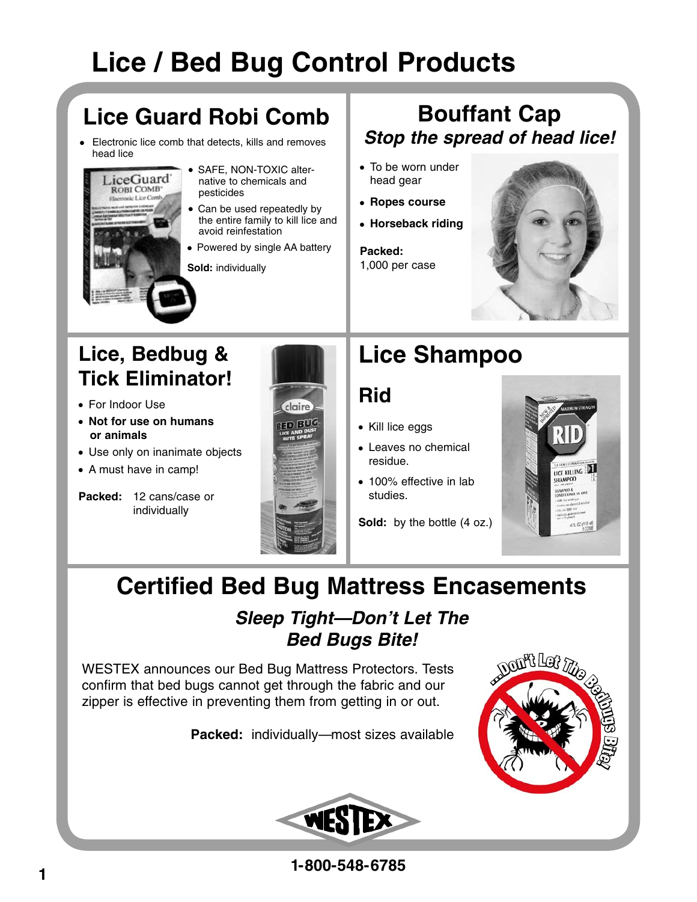# **Lice / Bed Bug Control Products**

## **Lice Guard Robi Comb**

• Electronic lice comb that detects, kills and removes head lice



- SAFE, NON-TOXIC alter native to chemicals and pesticides
- Can be used repeatedly by the entire family to kill lice and avoid reinfestation
- Powered by single AA battery

**Sold:** individually

### **Bouffant Cap Stop the spread of head lice!**

- To be worn under head gear
- **Ropes course**
- **Horseback riding**

**Packed:**  1,000 per case



## **Lice, Bedbug & Tick Eliminator!**

- For Indoor Use
- **Not for use on humans or animals**
- Use only on inanimate objects
- A must have in camp!





## **Lice Shampoo**

### **Rid**

- Kill lice eggs
- Leaves no chemical residue.
- 100% effective in lab studies.

**Sold:** by the bottle (4 oz.)



## **Certified Bed Bug Mattress Encasements**

### **Sleep Tight—Don't Let The Bed Bugs Bite!**

WESTEX announces our Bed Bug Mattress Protectors. Tests confirm that bed bugs cannot get through the fabric and our zipper is effective in preventing them from getting in or out.

**Packed:** individually—most sizes available





**1-800-548-6785**